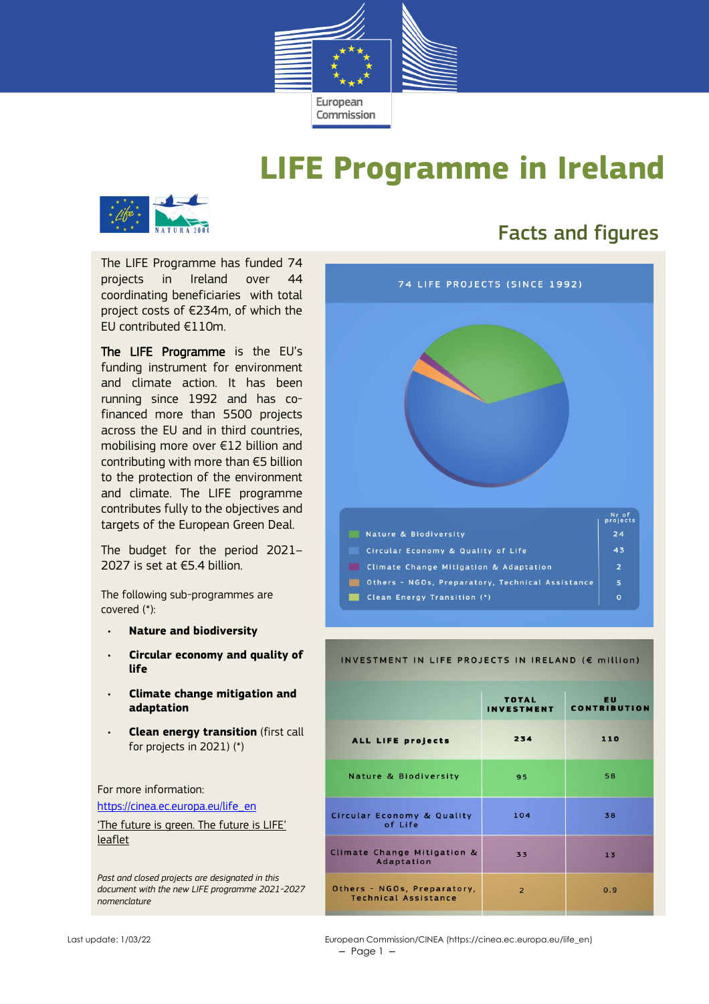

# **LIFE Programme in Ireland**



### Facts and figures

The LIFE Programme has funded 74 projects in Ireland over 44 coordinating beneficiaries with total project costs of €234m, of which the EU contributed €110m.

The LIFE Programme is the EU's funding instrument for environment and climate action. It has been running since 1992 and has cofinanced more than 5500 projects across the EU and in third countries, mobilising more over €12 billion and contributing with more than €5 billion to the protection of the environment and climate. The LIFE programme contributes fully to the objectives and targets of the European Green Deal.

The budget for the period 2021– 2027 is set at €5.4 billion.

The following sub-programmes are covered (\*):

- **Nature and biodiversity**
- **Circular economy and quality of life**
- **Climate change mitigation and adaptation**
- **Clean energy transition** (first call for projects in 2021) (\*)

For more information: [https://cinea.ec.europa.eu/life\\_en](https://cinea.ec.europa.eu/life_en)

['The future is green. The future is LIFE'](https://cinea.ec.europa.eu/publications/future-green-future-life-leaflet_en)  [leaflet](https://cinea.ec.europa.eu/publications/future-green-future-life-leaflet_en)

*Past and closed projects are designated in this document with the new LIFE programme 2021-2027 nomenclature*



#### INVESTMENT IN LIFE PROJECTS IN IRELAND (€ million)

|                                                            | <b>TOTAL</b><br><b>INVESTMENT</b> | <b>EU</b><br><b>CONTRIBUTION</b> |  |
|------------------------------------------------------------|-----------------------------------|----------------------------------|--|
| ALL LIFE projects                                          | 234                               | 110                              |  |
| Nature & Biodiversity                                      | 95                                | 58                               |  |
| <b>Circular Economy &amp; Quality</b><br>of Life           | 104                               | 38                               |  |
| Climate Change Mitigation &<br>Adaptation                  | 33                                | 13                               |  |
| Others - NGOs, Preparatory,<br><b>Technical Assistance</b> | $\overline{2}$                    | 0.9                              |  |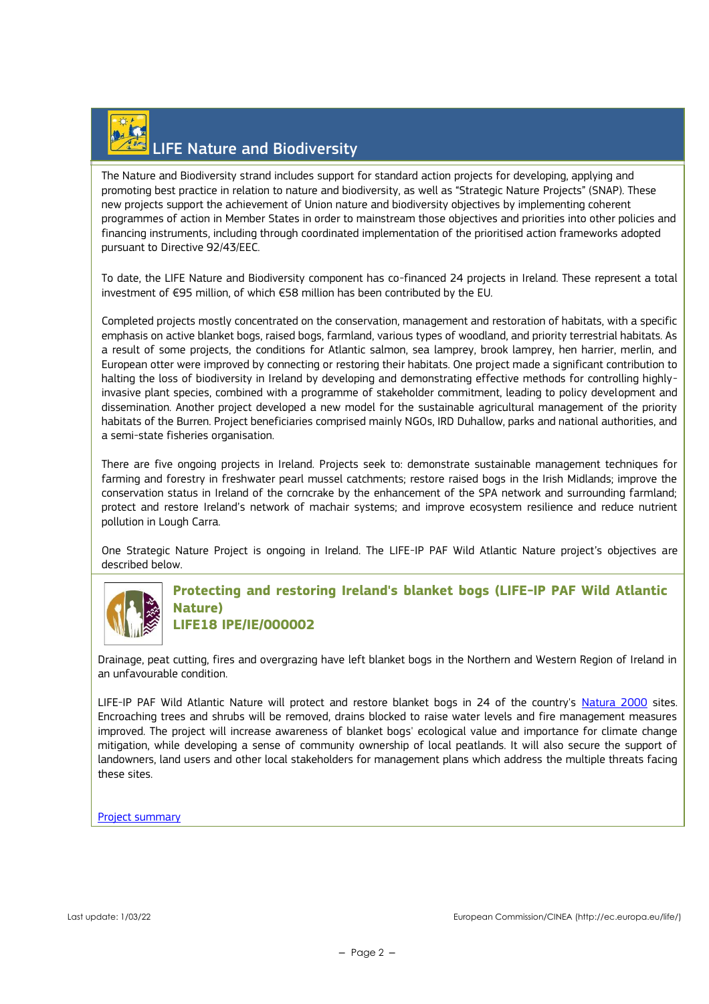# LIFE Nature and Biodiversity

The Nature and Biodiversity strand includes support for standard action projects for developing, applying and promoting best practice in relation to nature and biodiversity, as well as "Strategic Nature Projects" (SNAP). These new projects support the achievement of Union nature and biodiversity objectives by implementing coherent programmes of action in Member States in order to mainstream those objectives and priorities into other policies and financing instruments, including through coordinated implementation of the prioritised action frameworks adopted pursuant to Directive 92/43/EEC.

To date, the LIFE Nature and Biodiversity component has co-financed 24 projects in Ireland. These represent a total investment of €95 million, of which €58 million has been contributed by the EU.

Completed projects mostly concentrated on the conservation, management and restoration of habitats, with a specific emphasis on active blanket bogs, raised bogs, farmland, various types of woodland, and priority terrestrial habitats. As a result of some projects, the conditions for Atlantic salmon, sea lamprey, brook lamprey, hen harrier, merlin, and European otter were improved by connecting or restoring their habitats. One project made a significant contribution to halting the loss of biodiversity in Ireland by developing and demonstrating effective methods for controlling highlyinvasive plant species, combined with a programme of stakeholder commitment, leading to policy development and dissemination. Another project developed a new model for the sustainable agricultural management of the priority habitats of the Burren. Project beneficiaries comprised mainly NGOs, IRD Duhallow, parks and national authorities, and a semi-state fisheries organisation.

There are five ongoing projects in Ireland. Projects seek to: demonstrate sustainable management techniques for farming and forestry in freshwater pearl mussel catchments; restore raised bogs in the Irish Midlands; improve the conservation status in Ireland of the corncrake by the enhancement of the SPA network and surrounding farmland; protect and restore Ireland's network of machair systems; and improve ecosystem resilience and reduce nutrient pollution in Lough Carra.

One Strategic Nature Project is ongoing in Ireland. The LIFE-IP PAF Wild Atlantic Nature project's objectives are described below.



**Protecting and restoring Ireland's blanket bogs (LIFE-IP PAF Wild Atlantic Nature) LIFE18 IPE/IE/000002**

Drainage, peat cutting, fires and overgrazing have left blanket bogs in the Northern and Western Region of Ireland in an unfavourable condition.

LIFE-IP PAF Wild Atlantic Nature will protect and restore blanket bogs in 24 of the country's [Natura 2000](https://ec.europa.eu/environment/nature/natura2000/index_en.htm) sites. Encroaching trees and shrubs will be removed, drains blocked to raise water levels and fire management measures improved. The project will increase awareness of blanket bogs' ecological value and importance for climate change mitigation, while developing a sense of community ownership of local peatlands. It will also secure the support of landowners, land users and other local stakeholders for management plans which address the multiple threats facing these sites.

[Project summary](http://ec.europa.eu/environment/life/project/Projects/index.cfm?fuseaction=search.dspPage&n_proj_id=7400)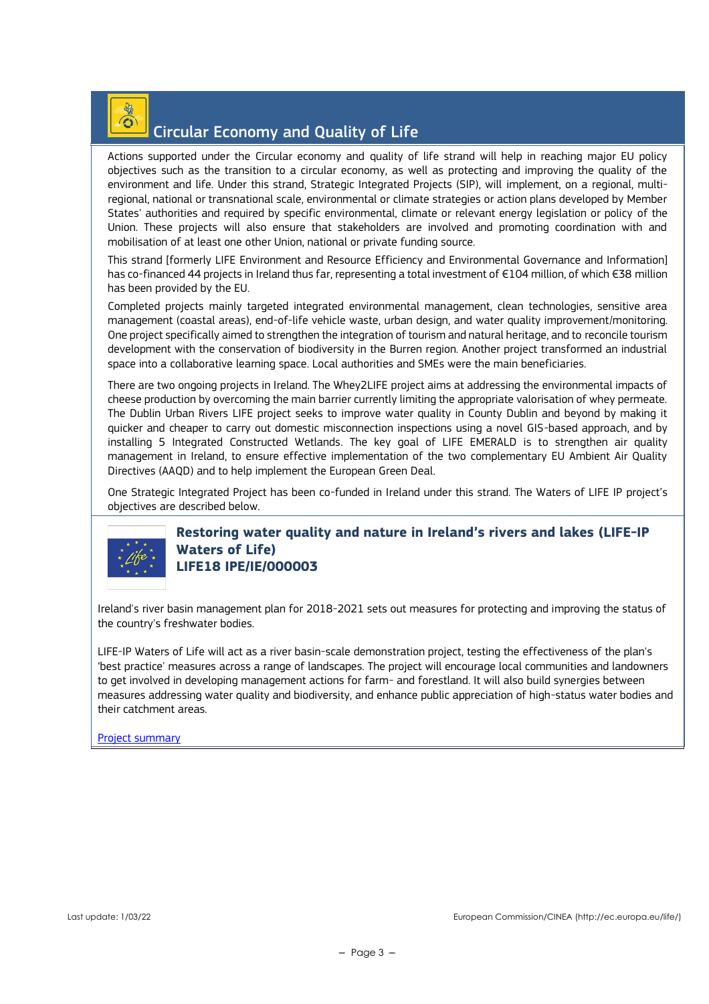# $\odot$

### Circular Economy and Quality of Life

Actions supported under the Circular economy and quality of life strand will help in reaching major EU policy objectives such as the transition to a circular economy, as well as protecting and improving the quality of the environment and life. Under this strand, Strategic Integrated Projects (SIP), will implement, on a regional, multiregional, national or transnational scale, environmental or climate strategies or action plans developed by Member States' authorities and required by specific environmental, climate or relevant energy legislation or policy of the Union. These projects will also ensure that stakeholders are involved and promoting coordination with and mobilisation of at least one other Union, national or private funding source.

This strand [formerly LIFE Environment and Resource Efficiency and Environmental Governance and Information] has co-financed 44 projects in Ireland thus far, representing a total investment of €104 million, of which €38 million has been provided by the EU.

Completed projects mainly targeted integrated environmental management, clean technologies, sensitive area management (coastal areas), end-of-life vehicle waste, urban design, and water quality improvement/monitoring. One project specifically aimed to strengthen the integration of tourism and natural heritage, and to reconcile tourism development with the conservation of biodiversity in the Burren region. Another project transformed an industrial space into a collaborative learning space. Local authorities and SMEs were the main beneficiaries.

There are two ongoing projects in Ireland. The Whey2LIFE project aims at addressing the environmental impacts of cheese production by overcoming the main barrier currently limiting the appropriate valorisation of whey permeate. The Dublin Urban Rivers LIFE project seeks to improve water quality in County Dublin and beyond by making it quicker and cheaper to carry out domestic misconnection inspections using a novel GIS-based approach, and by installing 5 Integrated Constructed Wetlands. The key goal of LIFE EMERALD is to strengthen air quality management in Ireland, to ensure effective implementation of the two complementary EU Ambient Air Quality Directives (AAQD) and to help implement the European Green Deal.

One Strategic Integrated Project has been co-funded in Ireland under this strand. The Waters of LIFE IP project's objectives are described below.



#### **Restoring water quality and nature in Ireland's rivers and lakes (LIFE-IP Waters of Life) LIFE18 IPE/IE/000003**

Ireland's river basin management plan for 2018-2021 sets out measures for protecting and improving the status of the country's freshwater bodies.

LIFE-IP Waters of Life will act as a river basin-scale demonstration project, testing the effectiveness of the plan's 'best practice' measures across a range of landscapes. The project will encourage local communities and landowners to get involved in developing management actions for farm- and forestland. It will also build synergies between measures addressing water quality and biodiversity, and enhance public appreciation of high-status water bodies and their catchment areas.

[Project summary](http://ec.europa.eu/environment/life/project/Projects/index.cfm?fuseaction=search.dspPage&n_proj_id=7403)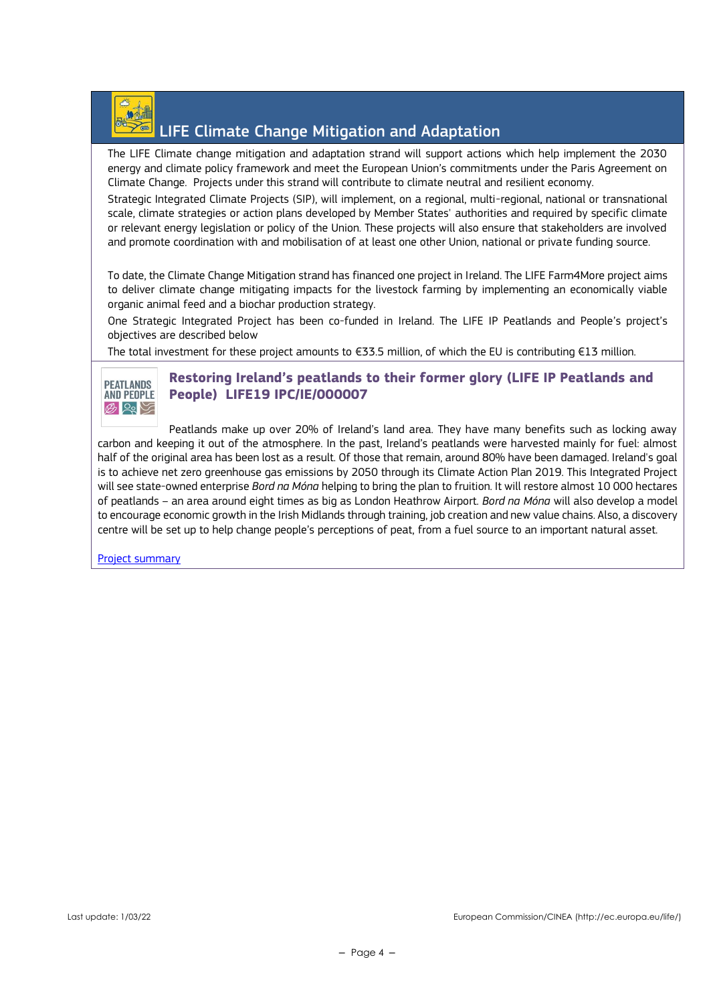

### LIFE Climate Change Mitigation and Adaptation

The LIFE Climate change mitigation and adaptation strand will support actions which help implement the 2030 energy and climate policy framework and meet the European Union's commitments under the Paris Agreement on Climate Change. Projects under this strand will contribute to climate neutral and resilient economy.

Strategic Integrated Climate Projects (SIP), will implement, on a regional, multi-regional, national or transnational scale, climate strategies or action plans developed by Member States' authorities and required by specific climate or relevant energy legislation or policy of the Union. These projects will also ensure that stakeholders are involved and promote coordination with and mobilisation of at least one other Union, national or private funding source.

To date, the Climate Change Mitigation strand has financed one project in Ireland. The LIFE Farm4More project aims to deliver climate change mitigating impacts for the livestock farming by implementing an economically viable organic animal feed and a biochar production strategy.

One Strategic Integrated Project has been co-funded in Ireland. The LIFE IP Peatlands and People's project's objectives are described below

The total investment for these project amounts to €33.5 million, of which the EU is contributing €13 million.



#### **Restoring Ireland's peatlands to their former glory (LIFE IP Peatlands and People) LIFE19 IPC/IE/000007**

Peatlands make up over 20% of Ireland's land area. They have many benefits such as locking away carbon and keeping it out of the atmosphere. In the past, Ireland's peatlands were harvested mainly for fuel: almost half of the original area has been lost as a result. Of those that remain, around 80% have been damaged. Ireland's goal is to achieve net zero greenhouse gas emissions by 2050 through its Climate Action Plan 2019. This Integrated Project will see state-owned enterprise *Bord na Móna* helping to bring the plan to fruition. It will restore almost 10 000 hectares of peatlands – an area around eight times as big as London Heathrow Airport. *Bord na Móna* will also develop a model to encourage economic growth in the Irish Midlands through training, job creation and new value chains. Also, a discovery centre will be set up to help change people's perceptions of peat, from a fuel source to an important natural asset.

[Project summary](http://ec.europa.eu/environment/life/project/Projects/index.cfm?fuseaction=search.dspPage&n_proj_id=7888)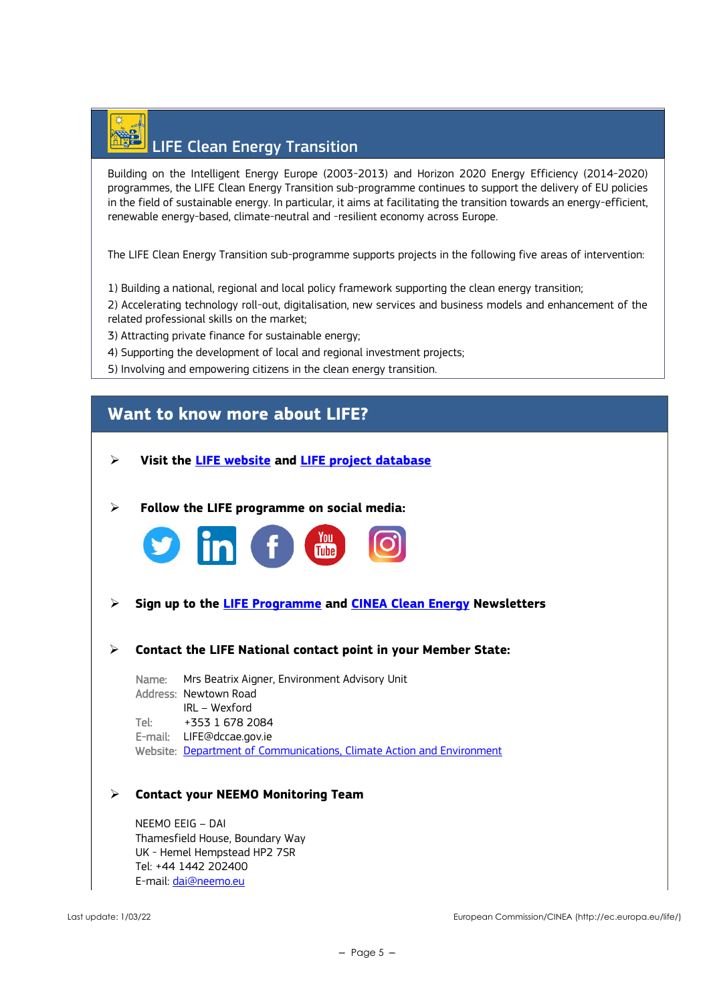# LIFE Clean Energy Transition

Building on the Intelligent Energy Europe (2003-2013) and Horizon 2020 Energy Efficiency (2014-2020) programmes, the LIFE Clean Energy Transition sub-programme continues to support the delivery of EU policies in the field of sustainable energy. In particular, it aims at facilitating the transition towards an energy-efficient, renewable energy-based, climate-neutral and -resilient economy across Europe.

The LIFE Clean Energy Transition sub-programme supports projects in the following five areas of intervention:

1) Building a national, regional and local policy framework supporting the clean energy transition;

2) Accelerating technology roll-out, digitalisation, new services and business models and enhancement of the related professional skills on the market;

3) Attracting private finance for sustainable energy;

- 4) Supporting the development of local and regional investment projects;
- 5) Involving and empowering citizens in the clean energy transition.

### **Want to know more about LIFE?**

- ➢ **Visit the [LIFE website](https://cinea.ec.europa.eu/life_en) and [LIFE project database](https://webgate.ec.europa.eu/life/publicWebsite/search)**
- ➢ **Follow the LIFE programme on social media:**



- ➢ **Sign up to the [LIFE Programme](https://ec.europa.eu/newsroom/cinea/user-subscriptions/2183/create) and [CINEA Clean Energy](https://ec.europa.eu/newsroom/cinea/user-subscriptions/2180/create) Newsletters**
- ➢ **Contact the LIFE National contact point in your Member State:**

Name: Mrs Beatrix Aigner, Environment Advisory Unit Address: Newtown Road IRL – Wexford Tel: +353 1 678 2084 E-mail: LIFE@dccae.gov.ie Website: [Department of Communications, Climate Action and Environment](https://www.dccae.gov.ie/en-ie/environment/topics/life-programme/Pages/default.aspx)

#### ➢ **Contact your NEEMO Monitoring Team**

NEEMO EEIG – DAI Thamesfield House, Boundary Way UK - Hemel Hempstead HP2 7SR Tel: +44 1442 202400 E-mail: [dai@neemo.eu](mailto:dai@neemo.eu)